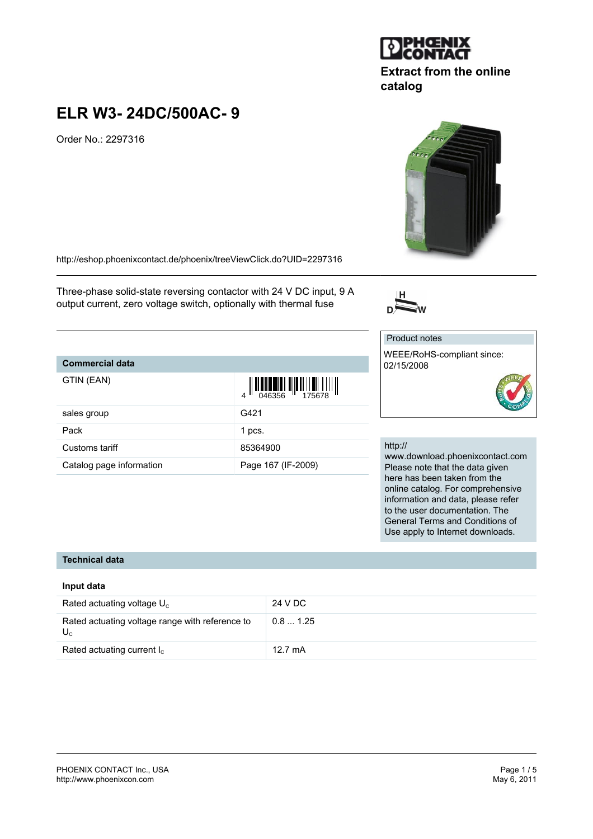#### PHOENIX CONTACT Inc., USA Page 1 / 5 <http://www.phoenixcon.com>

# **ELR W3- 24DC/500AC- 9**

Order No.: 2297316

<http://eshop.phoenixcontact.de/phoenix/treeViewClick.do?UID=2297316>

Three-phase solid-state reversing contactor with 24 V DC input, 9 A output current, zero voltage switch, optionally with thermal fuse

## **Commercial data**

| GTIN (EAN)               | $\left\  \left\  \left[ \begin{array}{c} 0 & 0 \\ 0 & 0 \end{array} \right] \right\  \left\  \left[ \begin{array}{c} 0 & 0 \\ 0 & 0 \end{array} \right] \right\  \left\  \left[ \begin{array}{c} 0 & 0 \\ 0 & 0 \end{array} \right] \right\  \left\  \left[ \begin{array}{c} 0 & 0 \\ 0 & 0 \end{array} \right] \right\  \left\  \left[ \begin{array}{c} 0 & 0 \\ 0 & 0 \end{array} \right] \right\  \left\  \left[ \begin{array}{c} 0 & 0 \\ 0 & 0 \end{array} \$ |
|--------------------------|--------------------------------------------------------------------------------------------------------------------------------------------------------------------------------------------------------------------------------------------------------------------------------------------------------------------------------------------------------------------------------------------------------------------------------------------------------------------|
| sales group              | G421                                                                                                                                                                                                                                                                                                                                                                                                                                                               |
| Pack                     | 1 pcs.                                                                                                                                                                                                                                                                                                                                                                                                                                                             |
| Customs tariff           | 85364900                                                                                                                                                                                                                                                                                                                                                                                                                                                           |
| Catalog page information | Page 167 (IF-2009)                                                                                                                                                                                                                                                                                                                                                                                                                                                 |

# http://

Product notes

02/15/2008

www.download.phoenixcontact.com Please note that the data given here has been taken from the online catalog. For comprehensive information and data, please refer to the user documentation. The General Terms and Conditions of Use apply to Internet downloads.

### **Technical data**

## **Input data**

| Rated actuating voltage $U_c$                              | 24 V DC           |
|------------------------------------------------------------|-------------------|
| Rated actuating voltage range with reference to<br>$U_{c}$ | 0.81.25           |
| Rated actuating current $I_c$                              | $12.7 \text{ mA}$ |



**Extract from the online**



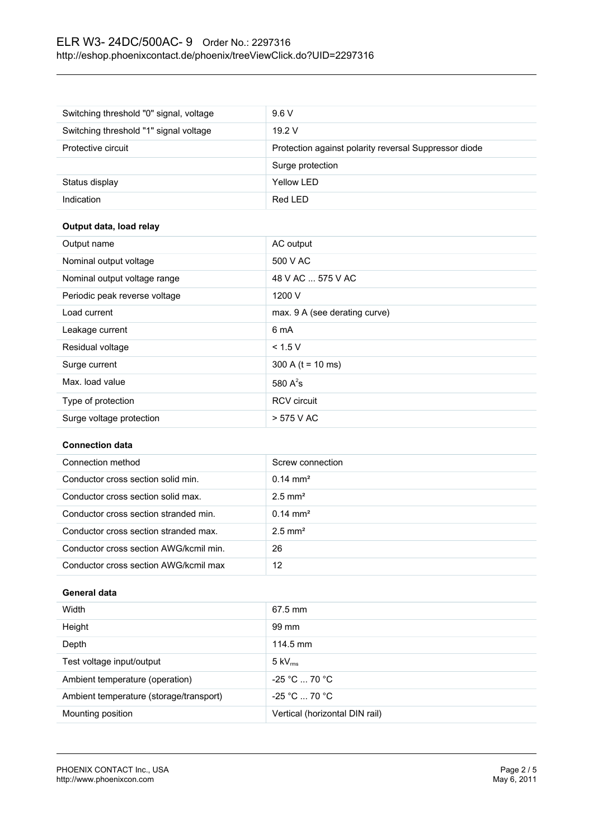# ELR W3- 24DC/500AC- 9 Order No.: 2297316 <http://eshop.phoenixcontact.de/phoenix/treeViewClick.do?UID=2297316>

| Switching threshold "0" signal, voltage | 9.6V                                                  |
|-----------------------------------------|-------------------------------------------------------|
| Switching threshold "1" signal voltage  | 19.2V                                                 |
| Protective circuit                      | Protection against polarity reversal Suppressor diode |
|                                         | Surge protection                                      |
| Status display                          | Yellow LED                                            |
| Indication                              | Red LED                                               |

# **Output data, load relay**

| Output name                   | AC output                     |
|-------------------------------|-------------------------------|
| Nominal output voltage        | 500 V AC                      |
| Nominal output voltage range  | 48 V AC  575 V AC             |
| Periodic peak reverse voltage | 1200 V                        |
| Load current                  | max. 9 A (see derating curve) |
| Leakage current               | 6 mA                          |
| Residual voltage              | < 1.5 V                       |
| Surge current                 | 300 A ( $t = 10$ ms)          |
| Max. load value               | 580 $A^2$ s                   |
| Type of protection            | <b>RCV</b> circuit            |
| Surge voltage protection      | > 575 V AC                    |

## **Connection data**

| Connection method                      | Screw connection      |
|----------------------------------------|-----------------------|
| Conductor cross section solid min.     | $0.14 \text{ mm}^2$   |
| Conductor cross section solid max.     | $2.5$ mm <sup>2</sup> |
| Conductor cross section stranded min.  | $0.14 \text{ mm}^2$   |
| Conductor cross section stranded max.  | $2.5$ mm <sup>2</sup> |
| Conductor cross section AWG/kcmil min. | 26                    |
| Conductor cross section AWG/kcmil max  | 12                    |

## **General data**

| Width                                   | $67.5$ mm                      |
|-----------------------------------------|--------------------------------|
| Height                                  | 99 mm                          |
| Depth                                   | 114.5 mm                       |
| Test voltage input/output               | $5 \text{ kV}_{\text{rms}}$    |
| Ambient temperature (operation)         | $-25 °C  70 °C$                |
| Ambient temperature (storage/transport) | $-25 °C  70 °C$                |
| Mounting position                       | Vertical (horizontal DIN rail) |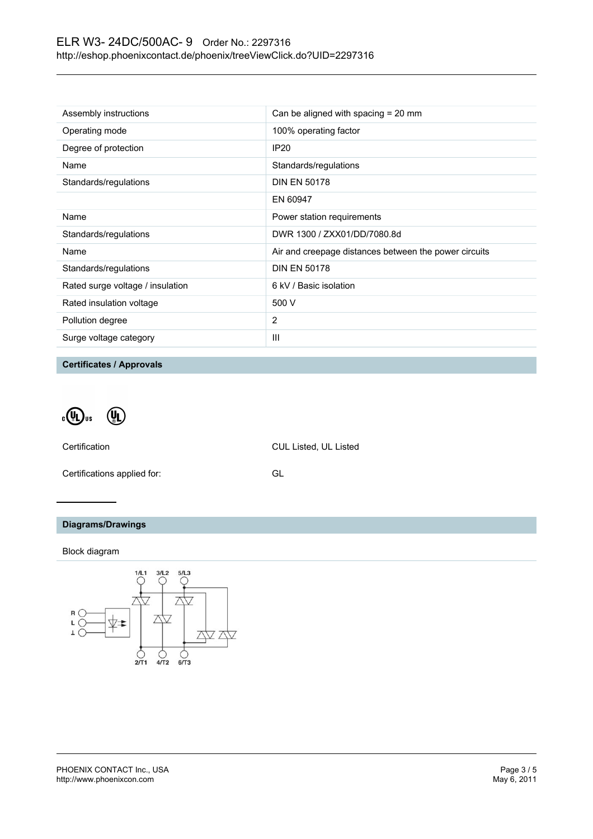| Assembly instructions            | Can be aligned with spacing $= 20$ mm                 |
|----------------------------------|-------------------------------------------------------|
| Operating mode                   | 100% operating factor                                 |
| Degree of protection             | <b>IP20</b>                                           |
| Name                             | Standards/regulations                                 |
| Standards/regulations            | <b>DIN EN 50178</b>                                   |
|                                  | EN 60947                                              |
| Name                             | Power station requirements                            |
| Standards/regulations            | DWR 1300 / ZXX01/DD/7080.8d                           |
| Name                             | Air and creepage distances between the power circuits |
| Standards/regulations            | <b>DIN EN 50178</b>                                   |
| Rated surge voltage / insulation | 6 kV / Basic isolation                                |
| Rated insulation voltage         | 500 V                                                 |
| Pollution degree                 | 2                                                     |
| Surge voltage category           | Ш                                                     |

**Certificates / Approvals**

 $\cdot \mathbb{Q}$ <sub>us</sub>  $\left(\begin{matrix} 0 \\ 0 \end{matrix}\right)$ 

Certification CUL Listed, UL Listed

Certifications applied for: GL

# **Diagrams/Drawings**

Block diagram

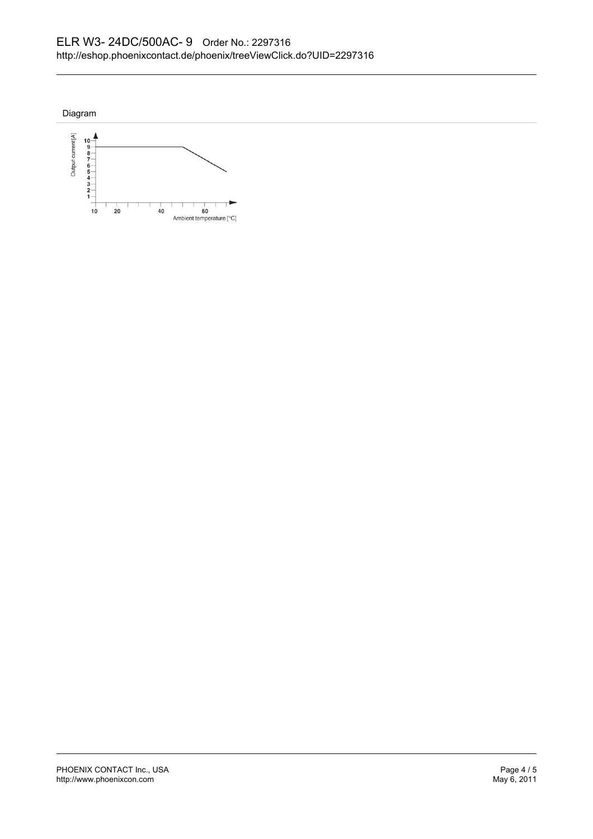